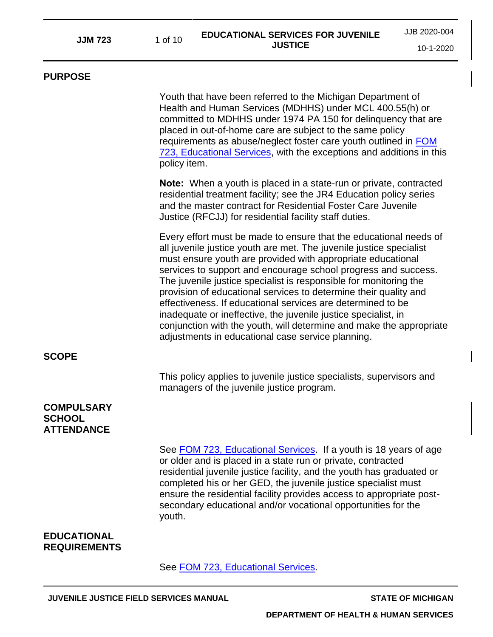#### **PURPOSE**

Youth that have been referred to the Michigan Department of Health and Human Services (MDHHS) under MCL 400.55(h) or committed to MDHHS under 1974 PA 150 for delinquency that are placed in out-of-home care are subject to the same policy requirements as abuse/neglect foster care youth outlined in [FOM](https://dhhs.michigan.gov/OLMWEB/EX/FO/Public/FOM/723.pdf#pagemode=bookmarks)  [723, Educational Services,](https://dhhs.michigan.gov/OLMWEB/EX/FO/Public/FOM/723.pdf#pagemode=bookmarks) with the exceptions and additions in this policy item.

**Note:** When a youth is placed in a state-run or private, contracted residential treatment facility; see the JR4 Education policy series and the master contract for Residential Foster Care Juvenile Justice (RFCJJ) for residential facility staff duties.

Every effort must be made to ensure that the educational needs of all juvenile justice youth are met. The juvenile justice specialist must ensure youth are provided with appropriate educational services to support and encourage school progress and success. The juvenile justice specialist is responsible for monitoring the provision of educational services to determine their quality and effectiveness. If educational services are determined to be inadequate or ineffective, the juvenile justice specialist, in conjunction with the youth, will determine and make the appropriate adjustments in educational case service planning.

#### **SCOPE**

This policy applies to juvenile justice specialists, supervisors and managers of the juvenile justice program.

## **COMPULSARY SCHOOL ATTENDANCE**

See [FOM 723, Educational Services.](https://dhhs.michigan.gov/OLMWEB/EX/FO/Public/FOM/723.pdf#pagemode=bookmarks) If a youth is 18 years of age or older and is placed in a state run or private, contracted residential juvenile justice facility, and the youth has graduated or completed his or her GED, the juvenile justice specialist must ensure the residential facility provides access to appropriate postsecondary educational and/or vocational opportunities for the youth.

## **EDUCATIONAL REQUIREMENTS**

See [FOM 723, Educational Services.](https://dhhs.michigan.gov/OLMWEB/EX/FO/Public/FOM/723.pdf#pagemode=bookmarks)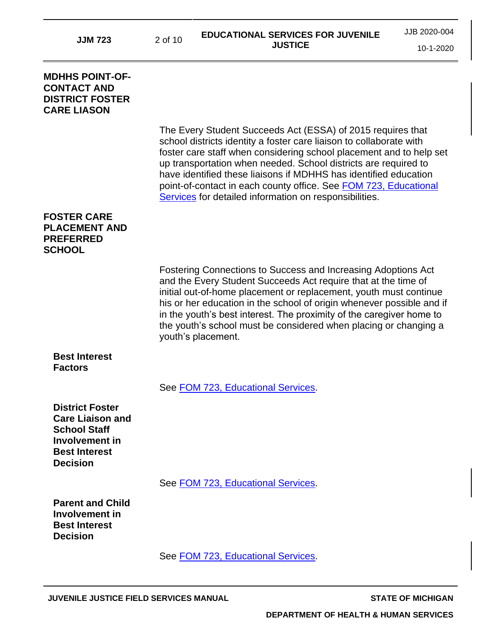| <b>JJM723</b>                                                                                                                                | 2 of 10 | <b>EDUCATIONAL SERVICES FOR JUVENILE</b><br><b>JUSTICE</b>                                                                                                                                                                                                                                                                                                                                                                                                                     | JJB 2020-004<br>10-1-2020 |
|----------------------------------------------------------------------------------------------------------------------------------------------|---------|--------------------------------------------------------------------------------------------------------------------------------------------------------------------------------------------------------------------------------------------------------------------------------------------------------------------------------------------------------------------------------------------------------------------------------------------------------------------------------|---------------------------|
| <b>MDHHS POINT-OF-</b><br><b>CONTACT AND</b><br><b>DISTRICT FOSTER</b><br><b>CARE LIASON</b>                                                 |         |                                                                                                                                                                                                                                                                                                                                                                                                                                                                                |                           |
|                                                                                                                                              |         | The Every Student Succeeds Act (ESSA) of 2015 requires that<br>school districts identity a foster care liaison to collaborate with<br>foster care staff when considering school placement and to help set<br>up transportation when needed. School districts are required to<br>have identified these liaisons if MDHHS has identified education<br>point-of-contact in each county office. See FOM 723, Educational<br>Services for detailed information on responsibilities. |                           |
| <b>FOSTER CARE</b><br><b>PLACEMENT AND</b><br><b>PREFERRED</b><br><b>SCHOOL</b>                                                              |         |                                                                                                                                                                                                                                                                                                                                                                                                                                                                                |                           |
|                                                                                                                                              |         | Fostering Connections to Success and Increasing Adoptions Act<br>and the Every Student Succeeds Act require that at the time of<br>initial out-of-home placement or replacement, youth must continue<br>his or her education in the school of origin whenever possible and if<br>in the youth's best interest. The proximity of the caregiver home to<br>the youth's school must be considered when placing or changing a<br>youth's placement.                                |                           |
| <b>Best Interest</b><br><b>Factors</b>                                                                                                       |         |                                                                                                                                                                                                                                                                                                                                                                                                                                                                                |                           |
|                                                                                                                                              |         | See FOM 723, Educational Services.                                                                                                                                                                                                                                                                                                                                                                                                                                             |                           |
| <b>District Foster</b><br><b>Care Liaison and</b><br><b>School Staff</b><br><b>Involvement in</b><br><b>Best Interest</b><br><b>Decision</b> |         |                                                                                                                                                                                                                                                                                                                                                                                                                                                                                |                           |
|                                                                                                                                              |         | See FOM 723, Educational Services.                                                                                                                                                                                                                                                                                                                                                                                                                                             |                           |
| <b>Parent and Child</b><br>Involvement in<br><b>Best Interest</b><br><b>Decision</b>                                                         |         |                                                                                                                                                                                                                                                                                                                                                                                                                                                                                |                           |
|                                                                                                                                              |         | See FOM 723, Educational Services.                                                                                                                                                                                                                                                                                                                                                                                                                                             |                           |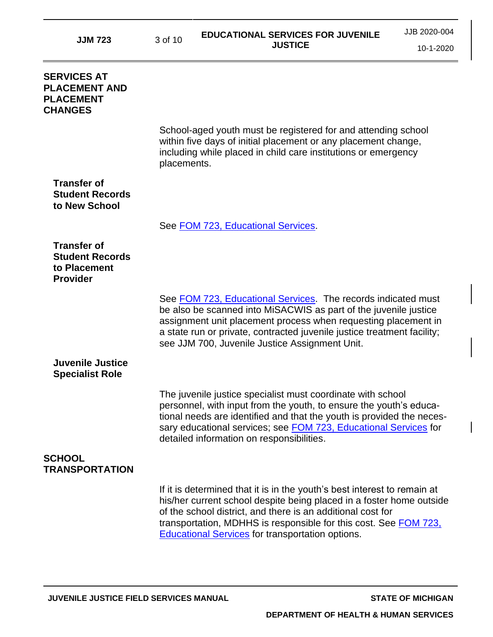| <b>JJM 723</b>                                                                   | 3 of 10     | <b>EDUCATIONAL SERVICES FOR JUVENILE</b><br><b>JUSTICE</b>                                                                                                                                                                                                                                                                                     | JJB 2020-004<br>10-1-2020 |
|----------------------------------------------------------------------------------|-------------|------------------------------------------------------------------------------------------------------------------------------------------------------------------------------------------------------------------------------------------------------------------------------------------------------------------------------------------------|---------------------------|
| <b>SERVICES AT</b><br><b>PLACEMENT AND</b><br><b>PLACEMENT</b><br><b>CHANGES</b> |             |                                                                                                                                                                                                                                                                                                                                                |                           |
|                                                                                  | placements. | School-aged youth must be registered for and attending school<br>within five days of initial placement or any placement change,<br>including while placed in child care institutions or emergency                                                                                                                                              |                           |
| <b>Transfer of</b><br><b>Student Records</b><br>to New School                    |             |                                                                                                                                                                                                                                                                                                                                                |                           |
|                                                                                  |             | See FOM 723, Educational Services.                                                                                                                                                                                                                                                                                                             |                           |
| <b>Transfer of</b><br><b>Student Records</b><br>to Placement<br><b>Provider</b>  |             |                                                                                                                                                                                                                                                                                                                                                |                           |
|                                                                                  |             | See <b>FOM 723, Educational Services</b> . The records indicated must<br>be also be scanned into MiSACWIS as part of the juvenile justice<br>assignment unit placement process when requesting placement in<br>a state run or private, contracted juvenile justice treatment facility;<br>see JJM 700, Juvenile Justice Assignment Unit.       |                           |
| <b>Juvenile Justice</b><br><b>Specialist Role</b>                                |             |                                                                                                                                                                                                                                                                                                                                                |                           |
|                                                                                  |             | The juvenile justice specialist must coordinate with school<br>personnel, with input from the youth, to ensure the youth's educa-<br>tional needs are identified and that the youth is provided the neces-<br>sary educational services; see FOM 723, Educational Services for<br>detailed information on responsibilities.                    |                           |
| <b>SCHOOL</b><br><b>TRANSPORTATION</b>                                           |             |                                                                                                                                                                                                                                                                                                                                                |                           |
|                                                                                  |             | If it is determined that it is in the youth's best interest to remain at<br>his/her current school despite being placed in a foster home outside<br>of the school district, and there is an additional cost for<br>transportation, MDHHS is responsible for this cost. See FOM 723,<br><b>Educational Services</b> for transportation options. |                           |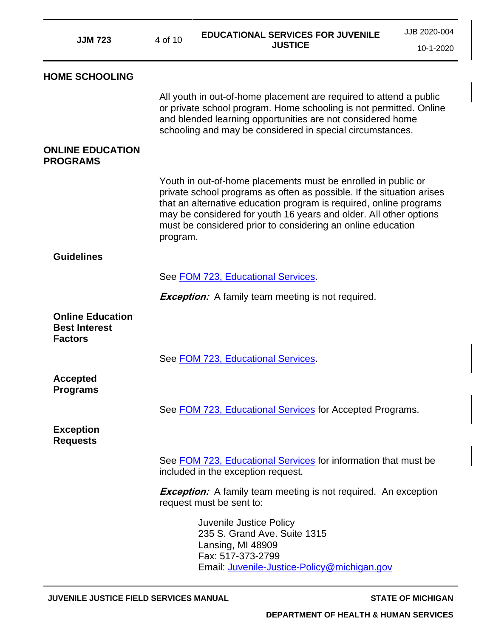| <b>JJM 723</b>                                                    | <b>EDUCATIONAL SERVICES FOR JUVENILE</b><br>4 of 10<br><b>JUSTICE</b>                                                                                                                                                                                               |                                                                                                                                                                                                                                                                                                                                                  | JJB 2020-004 |
|-------------------------------------------------------------------|---------------------------------------------------------------------------------------------------------------------------------------------------------------------------------------------------------------------------------------------------------------------|--------------------------------------------------------------------------------------------------------------------------------------------------------------------------------------------------------------------------------------------------------------------------------------------------------------------------------------------------|--------------|
|                                                                   |                                                                                                                                                                                                                                                                     |                                                                                                                                                                                                                                                                                                                                                  | 10-1-2020    |
| <b>HOME SCHOOLING</b>                                             |                                                                                                                                                                                                                                                                     |                                                                                                                                                                                                                                                                                                                                                  |              |
|                                                                   | All youth in out-of-home placement are required to attend a public<br>or private school program. Home schooling is not permitted. Online<br>and blended learning opportunities are not considered home<br>schooling and may be considered in special circumstances. |                                                                                                                                                                                                                                                                                                                                                  |              |
| <b>ONLINE EDUCATION</b><br><b>PROGRAMS</b>                        |                                                                                                                                                                                                                                                                     |                                                                                                                                                                                                                                                                                                                                                  |              |
|                                                                   | program.                                                                                                                                                                                                                                                            | Youth in out-of-home placements must be enrolled in public or<br>private school programs as often as possible. If the situation arises<br>that an alternative education program is required, online programs<br>may be considered for youth 16 years and older. All other options<br>must be considered prior to considering an online education |              |
| <b>Guidelines</b>                                                 |                                                                                                                                                                                                                                                                     |                                                                                                                                                                                                                                                                                                                                                  |              |
|                                                                   |                                                                                                                                                                                                                                                                     | See FOM 723, Educational Services.                                                                                                                                                                                                                                                                                                               |              |
|                                                                   |                                                                                                                                                                                                                                                                     | <b>Exception:</b> A family team meeting is not required.                                                                                                                                                                                                                                                                                         |              |
| <b>Online Education</b><br><b>Best Interest</b><br><b>Factors</b> |                                                                                                                                                                                                                                                                     |                                                                                                                                                                                                                                                                                                                                                  |              |
|                                                                   |                                                                                                                                                                                                                                                                     | See FOM 723, Educational Services.                                                                                                                                                                                                                                                                                                               |              |
| <b>Accepted</b><br><b>Programs</b>                                |                                                                                                                                                                                                                                                                     |                                                                                                                                                                                                                                                                                                                                                  |              |
|                                                                   |                                                                                                                                                                                                                                                                     | See FOM 723, Educational Services for Accepted Programs.                                                                                                                                                                                                                                                                                         |              |
| <b>Exception</b><br><b>Requests</b>                               |                                                                                                                                                                                                                                                                     |                                                                                                                                                                                                                                                                                                                                                  |              |
|                                                                   |                                                                                                                                                                                                                                                                     | See FOM 723, Educational Services for information that must be<br>included in the exception request.                                                                                                                                                                                                                                             |              |
|                                                                   | <b>Exception:</b> A family team meeting is not required. An exception<br>request must be sent to:                                                                                                                                                                   |                                                                                                                                                                                                                                                                                                                                                  |              |
|                                                                   |                                                                                                                                                                                                                                                                     | Juvenile Justice Policy<br>235 S. Grand Ave. Suite 1315<br>Lansing, MI 48909<br>Fax: 517-373-2799<br>Email: Juvenile-Justice-Policy@michigan.gov                                                                                                                                                                                                 |              |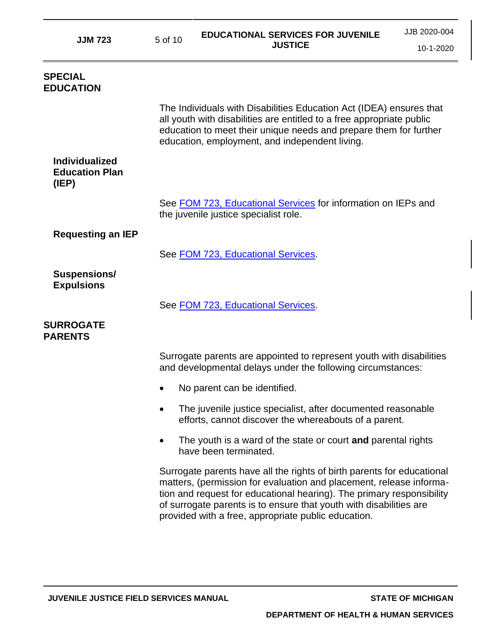| <b>JJM723</b>                                           | 5 of 10 | <b>EDUCATIONAL SERVICES FOR JUVENILE</b><br><b>JUSTICE</b>                                                                                                                                                                                                                                                                                          | JJB 2020-004<br>10-1-2020 |
|---------------------------------------------------------|---------|-----------------------------------------------------------------------------------------------------------------------------------------------------------------------------------------------------------------------------------------------------------------------------------------------------------------------------------------------------|---------------------------|
| <b>SPECIAL</b><br><b>EDUCATION</b>                      |         |                                                                                                                                                                                                                                                                                                                                                     |                           |
|                                                         |         | The Individuals with Disabilities Education Act (IDEA) ensures that<br>all youth with disabilities are entitled to a free appropriate public<br>education to meet their unique needs and prepare them for further<br>education, employment, and independent living.                                                                                 |                           |
| <b>Individualized</b><br><b>Education Plan</b><br>(IEP) |         |                                                                                                                                                                                                                                                                                                                                                     |                           |
|                                                         |         | See FOM 723, Educational Services for information on IEPs and<br>the juvenile justice specialist role.                                                                                                                                                                                                                                              |                           |
| <b>Requesting an IEP</b>                                |         |                                                                                                                                                                                                                                                                                                                                                     |                           |
|                                                         |         | See FOM 723, Educational Services.                                                                                                                                                                                                                                                                                                                  |                           |
| Suspensions/<br><b>Expulsions</b>                       |         |                                                                                                                                                                                                                                                                                                                                                     |                           |
|                                                         |         | See FOM 723, Educational Services.                                                                                                                                                                                                                                                                                                                  |                           |
| <b>SURROGATE</b><br><b>PARENTS</b>                      |         |                                                                                                                                                                                                                                                                                                                                                     |                           |
|                                                         |         | Surrogate parents are appointed to represent youth with disabilities<br>and developmental delays under the following circumstances:                                                                                                                                                                                                                 |                           |
|                                                         |         | No parent can be identified.                                                                                                                                                                                                                                                                                                                        |                           |
|                                                         |         | The juvenile justice specialist, after documented reasonable<br>efforts, cannot discover the whereabouts of a parent.                                                                                                                                                                                                                               |                           |
|                                                         |         | The youth is a ward of the state or court and parental rights<br>have been terminated.                                                                                                                                                                                                                                                              |                           |
|                                                         |         | Surrogate parents have all the rights of birth parents for educational<br>matters, (permission for evaluation and placement, release informa-<br>tion and request for educational hearing). The primary responsibility<br>of surrogate parents is to ensure that youth with disabilities are<br>provided with a free, appropriate public education. |                           |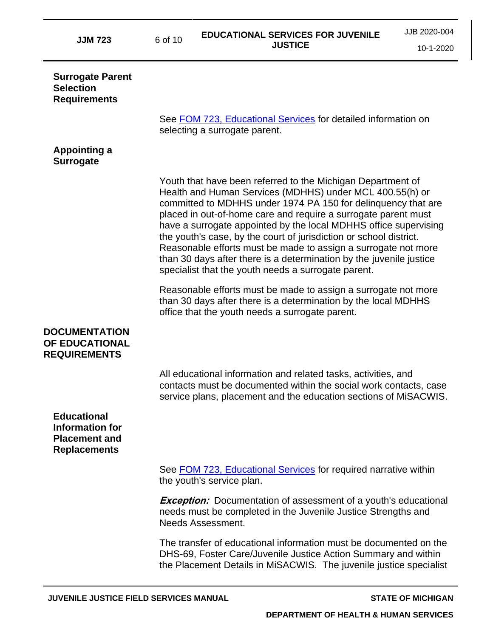| <b>JJM 723</b> |  |
|----------------|--|
|----------------|--|

| <b>Surrogate Parent</b><br><b>Selection</b><br><b>Requirements</b>                          |                                                                                                                                                                                                                                                                                                                                                                                                                                                                                                                                                                                                      |
|---------------------------------------------------------------------------------------------|------------------------------------------------------------------------------------------------------------------------------------------------------------------------------------------------------------------------------------------------------------------------------------------------------------------------------------------------------------------------------------------------------------------------------------------------------------------------------------------------------------------------------------------------------------------------------------------------------|
|                                                                                             | See <b>FOM 723, Educational Services</b> for detailed information on<br>selecting a surrogate parent.                                                                                                                                                                                                                                                                                                                                                                                                                                                                                                |
| <b>Appointing a</b><br><b>Surrogate</b>                                                     |                                                                                                                                                                                                                                                                                                                                                                                                                                                                                                                                                                                                      |
|                                                                                             | Youth that have been referred to the Michigan Department of<br>Health and Human Services (MDHHS) under MCL 400.55(h) or<br>committed to MDHHS under 1974 PA 150 for delinguency that are<br>placed in out-of-home care and require a surrogate parent must<br>have a surrogate appointed by the local MDHHS office supervising<br>the youth's case, by the court of jurisdiction or school district.<br>Reasonable efforts must be made to assign a surrogate not more<br>than 30 days after there is a determination by the juvenile justice<br>specialist that the youth needs a surrogate parent. |
|                                                                                             | Reasonable efforts must be made to assign a surrogate not more<br>than 30 days after there is a determination by the local MDHHS<br>office that the youth needs a surrogate parent.                                                                                                                                                                                                                                                                                                                                                                                                                  |
| <b>DOCUMENTATION</b><br><b>OF EDUCATIONAL</b><br><b>REQUIREMENTS</b>                        |                                                                                                                                                                                                                                                                                                                                                                                                                                                                                                                                                                                                      |
|                                                                                             | All educational information and related tasks, activities, and<br>contacts must be documented within the social work contacts, case<br>service plans, placement and the education sections of MiSACWIS.                                                                                                                                                                                                                                                                                                                                                                                              |
| <b>Educational</b><br><b>Information for</b><br><b>Placement and</b><br><b>Replacements</b> |                                                                                                                                                                                                                                                                                                                                                                                                                                                                                                                                                                                                      |
|                                                                                             | See <b>FOM 723, Educational Services</b> for required narrative within<br>the youth's service plan.                                                                                                                                                                                                                                                                                                                                                                                                                                                                                                  |
|                                                                                             | <b>Exception:</b> Documentation of assessment of a youth's educational<br>needs must be completed in the Juvenile Justice Strengths and<br><b>Needs Assessment.</b>                                                                                                                                                                                                                                                                                                                                                                                                                                  |
|                                                                                             | The transfer of educational information must be documented on the<br>DHS-69, Foster Care/Juvenile Justice Action Summary and within<br>the Placement Details in MiSACWIS. The juvenile justice specialist                                                                                                                                                                                                                                                                                                                                                                                            |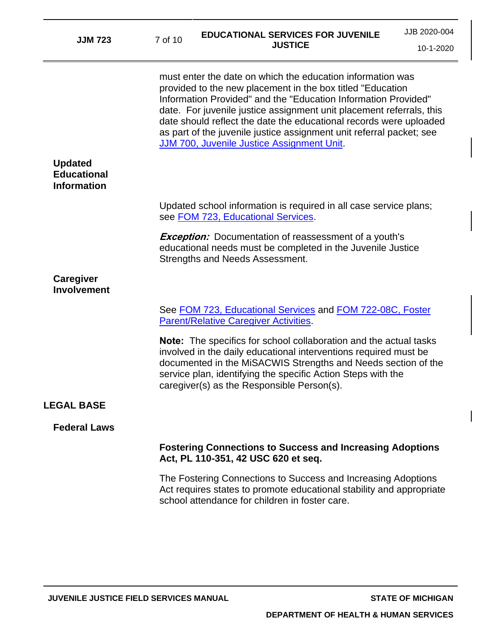| <b>JJM723</b>                                              | 7 of 10                                                                                                                                                                                                                                                                                                                                                                                                                                                        | <b>EDUCATIONAL SERVICES FOR JUVENILE</b><br><b>JUSTICE</b>                                                                                                                                                                                                                                                                 | JJB 2020-004<br>10-1-2020 |
|------------------------------------------------------------|----------------------------------------------------------------------------------------------------------------------------------------------------------------------------------------------------------------------------------------------------------------------------------------------------------------------------------------------------------------------------------------------------------------------------------------------------------------|----------------------------------------------------------------------------------------------------------------------------------------------------------------------------------------------------------------------------------------------------------------------------------------------------------------------------|---------------------------|
|                                                            | must enter the date on which the education information was<br>provided to the new placement in the box titled "Education<br>Information Provided" and the "Education Information Provided"<br>date. For juvenile justice assignment unit placement referrals, this<br>date should reflect the date the educational records were uploaded<br>as part of the juvenile justice assignment unit referral packet; see<br>JJM 700, Juvenile Justice Assignment Unit. |                                                                                                                                                                                                                                                                                                                            |                           |
| <b>Updated</b><br><b>Educational</b><br><b>Information</b> |                                                                                                                                                                                                                                                                                                                                                                                                                                                                |                                                                                                                                                                                                                                                                                                                            |                           |
|                                                            |                                                                                                                                                                                                                                                                                                                                                                                                                                                                | Updated school information is required in all case service plans;<br>see FOM 723, Educational Services.                                                                                                                                                                                                                    |                           |
|                                                            |                                                                                                                                                                                                                                                                                                                                                                                                                                                                | <b>Exception:</b> Documentation of reassessment of a youth's<br>educational needs must be completed in the Juvenile Justice<br>Strengths and Needs Assessment.                                                                                                                                                             |                           |
| Caregiver<br>Involvement                                   |                                                                                                                                                                                                                                                                                                                                                                                                                                                                |                                                                                                                                                                                                                                                                                                                            |                           |
|                                                            |                                                                                                                                                                                                                                                                                                                                                                                                                                                                | See FOM 723, Educational Services and FOM 722-08C, Foster<br><b>Parent/Relative Caregiver Activities.</b>                                                                                                                                                                                                                  |                           |
|                                                            |                                                                                                                                                                                                                                                                                                                                                                                                                                                                | <b>Note:</b> The specifics for school collaboration and the actual tasks<br>involved in the daily educational interventions required must be<br>documented in the MiSACWIS Strengths and Needs section of the<br>service plan, identifying the specific Action Steps with the<br>caregiver(s) as the Responsible Person(s) |                           |
| <b>LEGAL BASE</b>                                          |                                                                                                                                                                                                                                                                                                                                                                                                                                                                |                                                                                                                                                                                                                                                                                                                            |                           |
| <b>Federal Laws</b>                                        |                                                                                                                                                                                                                                                                                                                                                                                                                                                                |                                                                                                                                                                                                                                                                                                                            |                           |
|                                                            |                                                                                                                                                                                                                                                                                                                                                                                                                                                                | <b>Fostering Connections to Success and Increasing Adoptions</b><br>Act, PL 110-351, 42 USC 620 et seq.                                                                                                                                                                                                                    |                           |
|                                                            |                                                                                                                                                                                                                                                                                                                                                                                                                                                                | The Fostering Connections to Success and Increasing Adoptions<br>Act requires states to promote educational stability and appropriate<br>school attendance for children in foster care.                                                                                                                                    |                           |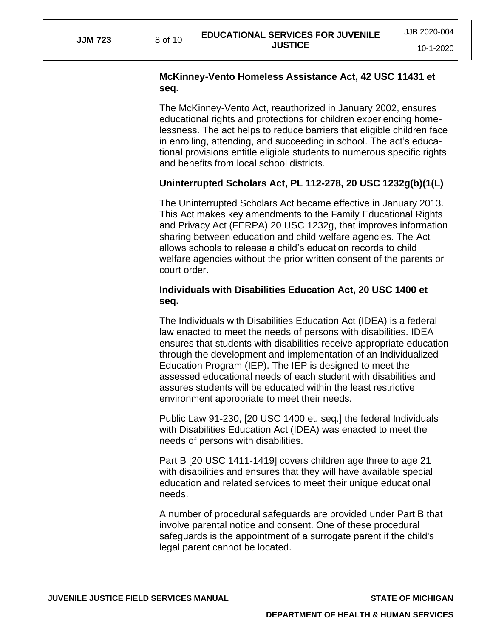## **McKinney-Vento Homeless Assistance Act, 42 USC 11431 et seq.**

The McKinney-Vento Act, reauthorized in January 2002, ensures educational rights and protections for children experiencing homelessness. The act helps to reduce barriers that eligible children face in enrolling, attending, and succeeding in school. The act's educational provisions entitle eligible students to numerous specific rights and benefits from local school districts.

# **Uninterrupted Scholars Act, PL 112-278, 20 USC 1232g(b)(1(L)**

The Uninterrupted Scholars Act became effective in January 2013. This Act makes key amendments to the Family Educational Rights and Privacy Act (FERPA) 20 USC 1232g, that improves information sharing between education and child welfare agencies. The Act allows schools to release a child's education records to child welfare agencies without the prior written consent of the parents or court order.

## **Individuals with Disabilities Education Act, 20 USC 1400 et seq.**

The Individuals with Disabilities Education Act (IDEA) is a federal law enacted to meet the needs of persons with disabilities. IDEA ensures that students with disabilities receive appropriate education through the development and implementation of an Individualized Education Program (IEP). The IEP is designed to meet the assessed educational needs of each student with disabilities and assures students will be educated within the least restrictive environment appropriate to meet their needs.

Public Law 91-230, [20 USC 1400 et. seq.] the federal Individuals with Disabilities Education Act (IDEA) was enacted to meet the needs of persons with disabilities.

Part B [20 USC 1411-1419] covers children age three to age 21 with disabilities and ensures that they will have available special education and related services to meet their unique educational needs.

A number of procedural safeguards are provided under Part B that involve parental notice and consent. One of these procedural safeguards is the appointment of a surrogate parent if the child's legal parent cannot be located.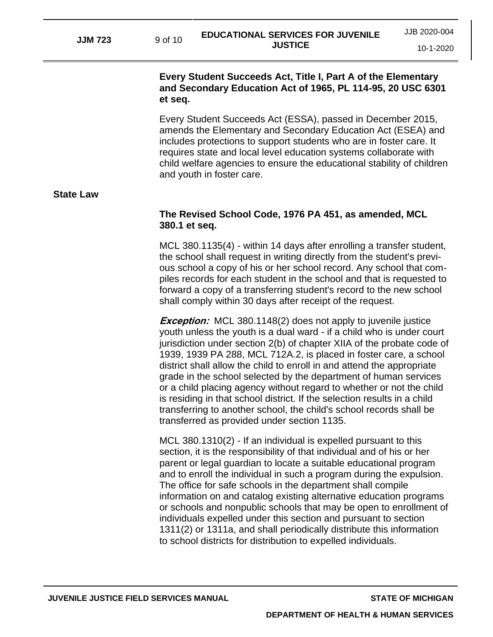**Every Student Succeeds Act, Title I, Part A of the Elementary and Secondary Education Act of 1965, PL 114-95, 20 USC 6301 et seq.**

Every Student Succeeds Act (ESSA), passed in December 2015, amends the Elementary and Secondary Education Act (ESEA) and includes protections to support students who are in foster care. It requires state and local level education systems collaborate with child welfare agencies to ensure the educational stability of children and youth in foster care.

### **State Law**

### **The Revised School Code, 1976 PA 451, as amended, MCL 380.1 et seq.**

MCL 380.1135(4) - within 14 days after enrolling a transfer student, the school shall request in writing directly from the student's previous school a copy of his or her school record. Any school that compiles records for each student in the school and that is requested to forward a copy of a transferring student's record to the new school shall comply within 30 days after receipt of the request.

**Exception:** MCL 380.1148(2) does not apply to juvenile justice youth unless the youth is a dual ward - if a child who is under court jurisdiction under section 2(b) of chapter XIIA of the probate code of 1939, 1939 PA 288, MCL 712A.2, is placed in foster care, a school district shall allow the child to enroll in and attend the appropriate grade in the school selected by the department of human services or a child placing agency without regard to whether or not the child is residing in that school district. If the selection results in a child transferring to another school, the child's school records shall be transferred as provided under section 1135.

MCL 380.1310(2) - If an individual is expelled pursuant to this section, it is the responsibility of that individual and of his or her parent or legal guardian to locate a suitable educational program and to enroll the individual in such a program during the expulsion. The office for safe schools in the department shall compile information on and catalog existing alternative education programs or schools and nonpublic schools that may be open to enrollment of individuals expelled under this section and pursuant to section 1311(2) or 1311a, and shall periodically distribute this information to school districts for distribution to expelled individuals.